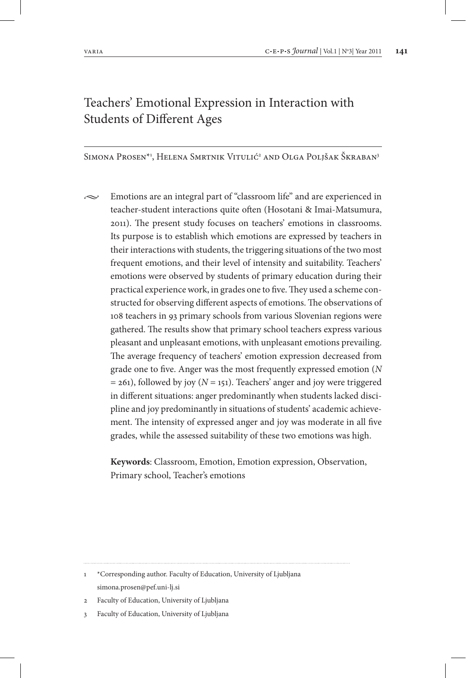# Teachers' Emotional Expression in Interaction with Students of Different Ages

Simona Prosen\*', Helena Smrtnik Vitulić<sup>2</sup> and Olga Poljšak Škraban<sup>3</sup>

 $\sim$  Emotions are an integral part of "classroom life" and are experienced in teacher-student interactions quite often (Hosotani & Imai-Matsumura, 2011). The present study focuses on teachers' emotions in classrooms. Its purpose is to establish which emotions are expressed by teachers in their interactions with students, the triggering situations of the two most frequent emotions, and their level of intensity and suitability. Teachers' emotions were observed by students of primary education during their practical experience work, in grades one to five. They used a scheme constructed for observing different aspects of emotions. The observations of 108 teachers in 93 primary schools from various Slovenian regions were gathered. The results show that primary school teachers express various pleasant and unpleasant emotions, with unpleasant emotions prevailing. The average frequency of teachers' emotion expression decreased from grade one to five. Anger was the most frequently expressed emotion (*N*  $= 261$ ), followed by joy ( $N = 151$ ). Teachers' anger and joy were triggered in different situations: anger predominantly when students lacked discipline and joy predominantly in situations of students' academic achievement. The intensity of expressed anger and joy was moderate in all five grades, while the assessed suitability of these two emotions was high.

**Keywords**: Classroom, Emotion, Emotion expression, Observation, Primary school, Teacher's emotions

<sup>1</sup> \*Corresponding author. Faculty of Education, University of Ljubljana simona.prosen@pef.uni-lj.si

<sup>2</sup> Faculty of Education, University of Ljubljana

<sup>3</sup> Faculty of Education, University of Ljubljana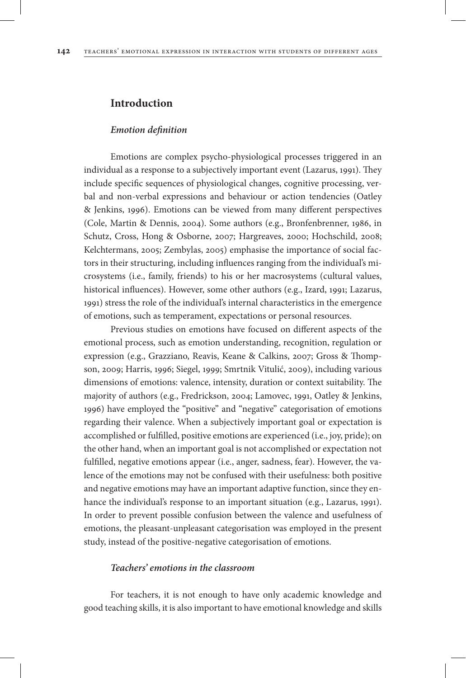#### **Introduction**

#### *Emotion definition*

Emotions are complex psycho-physiological processes triggered in an individual as a response to a subjectively important event (Lazarus, 1991). They include specific sequences of physiological changes, cognitive processing, verbal and non-verbal expressions and behaviour or action tendencies (Oatley & Jenkins, 1996). Emotions can be viewed from many different perspectives (Cole, Martin & Dennis, 2004). Some authors (e.g., Bronfenbrenner, 1986, in Schutz, Cross, Hong & Osborne, 2007; Hargreaves, 2000; Hochschild, 2008; Kelchtermans, 2005; Zembylas, 2005) emphasise the importance of social factors in their structuring, including influences ranging from the individual's microsystems (i.e., family, friends) to his or her macrosystems (cultural values, historical influences). However, some other authors (e.g., Izard, 1991; Lazarus, 1991) stress the role of the individual's internal characteristics in the emergence of emotions, such as temperament, expectations or personal resources.

Previous studies on emotions have focused on different aspects of the emotional process, such as emotion understanding, recognition, regulation or expression (e.g., Grazziano, Reavis, Keane & Calkins, 2007; Gross & Thompson, 2009; Harris, 1996; Siegel, 1999; Smrtnik Vitulić, 2009), including various dimensions of emotions: valence, intensity, duration or context suitability. The majority of authors (e.g., Fredrickson, 2004; Lamovec, 1991, Oatley & Jenkins, 1996) have employed the "positive" and "negative" categorisation of emotions regarding their valence. When a subjectively important goal or expectation is accomplished or fulfilled, positive emotions are experienced (i.e., joy, pride); on the other hand, when an important goal is not accomplished or expectation not fulfilled, negative emotions appear (i.e., anger, sadness, fear). However, the valence of the emotions may not be confused with their usefulness: both positive and negative emotions may have an important adaptive function, since they enhance the individual's response to an important situation (e.g., Lazarus, 1991). In order to prevent possible confusion between the valence and usefulness of emotions, the pleasant-unpleasant categorisation was employed in the present study, instead of the positive-negative categorisation of emotions.

#### *Teachers' emotions in the classroom*

For teachers, it is not enough to have only academic knowledge and good teaching skills, it is also important to have emotional knowledge and skills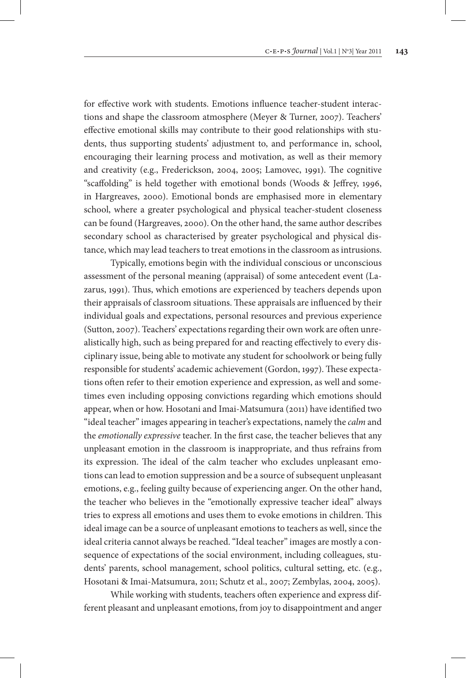for effective work with students. Emotions influence teacher-student interactions and shape the classroom atmosphere (Meyer & Turner, 2007). Teachers' effective emotional skills may contribute to their good relationships with students, thus supporting students' adjustment to, and performance in, school, encouraging their learning process and motivation, as well as their memory and creativity (e.g., Frederickson, 2004, 2005; Lamovec, 1991). The cognitive "scaffolding" is held together with emotional bonds (Woods & Jeffrey, 1996, in Hargreaves, 2000). Emotional bonds are emphasised more in elementary school, where a greater psychological and physical teacher-student closeness can be found (Hargreaves, 2000). On the other hand, the same author describes secondary school as characterised by greater psychological and physical distance, which may lead teachers to treat emotions in the classroom as intrusions.

Typically, emotions begin with the individual conscious or unconscious assessment of the personal meaning (appraisal) of some antecedent event (Lazarus, 1991). Thus, which emotions are experienced by teachers depends upon their appraisals of classroom situations. These appraisals are influenced by their individual goals and expectations, personal resources and previous experience (Sutton, 2007). Teachers' expectations regarding their own work are often unrealistically high, such as being prepared for and reacting effectively to every disciplinary issue, being able to motivate any student for schoolwork or being fully responsible for students' academic achievement (Gordon, 1997). These expectations often refer to their emotion experience and expression, as well and sometimes even including opposing convictions regarding which emotions should appear, when or how. Hosotani and Imai-Matsumura (2011) have identified two "ideal teacher" images appearing in teacher's expectations, namely the *calm* and the *emotionally expressive* teacher. In the first case, the teacher believes that any unpleasant emotion in the classroom is inappropriate, and thus refrains from its expression. The ideal of the calm teacher who excludes unpleasant emotions can lead to emotion suppression and be a source of subsequent unpleasant emotions, e.g., feeling guilty because of experiencing anger. On the other hand, the teacher who believes in the "emotionally expressive teacher ideal" always tries to express all emotions and uses them to evoke emotions in children. This ideal image can be a source of unpleasant emotions to teachers as well, since the ideal criteria cannot always be reached. "Ideal teacher" images are mostly a consequence of expectations of the social environment, including colleagues, students' parents, school management, school politics, cultural setting, etc. (e.g., Hosotani & Imai-Matsumura, 2011; Schutz et al., 2007; Zembylas, 2004, 2005).

While working with students, teachers often experience and express different pleasant and unpleasant emotions, from joy to disappointment and anger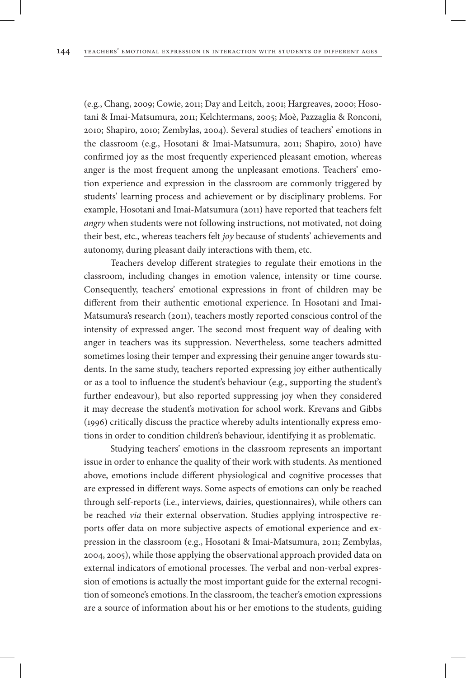(e.g., Chang, 2009; Cowie, 2011; Day and Leitch, 2001; Hargreaves, 2000; Hosotani & Imai-Matsumura, 2011; Kelchtermans, 2005; Moè, Pazzaglia & Ronconi, 2010; Shapiro, 2010; Zembylas, 2004). Several studies of teachers' emotions in the classroom (e.g., Hosotani & Imai-Matsumura, 2011; Shapiro, 2010) have confirmed joy as the most frequently experienced pleasant emotion, whereas anger is the most frequent among the unpleasant emotions. Teachers' emotion experience and expression in the classroom are commonly triggered by students' learning process and achievement or by disciplinary problems. For example, Hosotani and Imai-Matsumura (2011) have reported that teachers felt *angry* when students were not following instructions, not motivated, not doing their best, etc., whereas teachers felt *joy* because of students' achievements and autonomy, during pleasant daily interactions with them, etc.

Teachers develop different strategies to regulate their emotions in the classroom, including changes in emotion valence, intensity or time course. Consequently, teachers' emotional expressions in front of children may be different from their authentic emotional experience. In Hosotani and Imai-Matsumura's research (2011), teachers mostly reported conscious control of the intensity of expressed anger. The second most frequent way of dealing with anger in teachers was its suppression. Nevertheless, some teachers admitted sometimes losing their temper and expressing their genuine anger towards students. In the same study, teachers reported expressing joy either authentically or as a tool to influence the student's behaviour (e.g., supporting the student's further endeavour), but also reported suppressing joy when they considered it may decrease the student's motivation for school work. Krevans and Gibbs (1996) critically discuss the practice whereby adults intentionally express emotions in order to condition children's behaviour, identifying it as problematic.

Studying teachers' emotions in the classroom represents an important issue in order to enhance the quality of their work with students. As mentioned above, emotions include different physiological and cognitive processes that are expressed in different ways. Some aspects of emotions can only be reached through self-reports (i.e., interviews, dairies, questionnaires), while others can be reached *via* their external observation. Studies applying introspective reports offer data on more subjective aspects of emotional experience and expression in the classroom (e.g., Hosotani & Imai-Matsumura, 2011; Zembylas, 2004, 2005), while those applying the observational approach provided data on external indicators of emotional processes. The verbal and non-verbal expression of emotions is actually the most important guide for the external recognition of someone's emotions. In the classroom, the teacher's emotion expressions are a source of information about his or her emotions to the students, guiding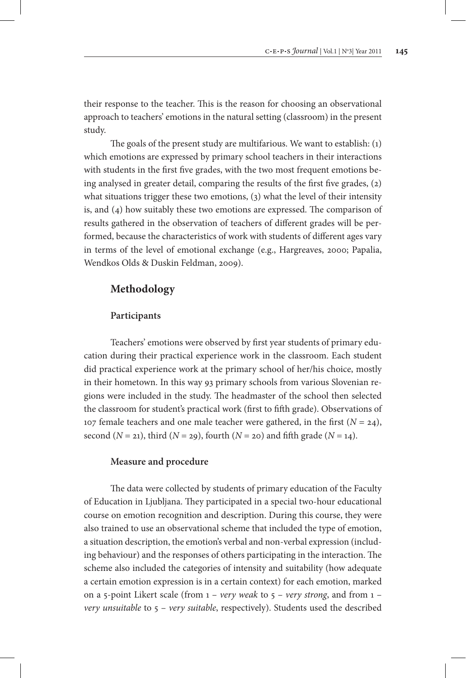their response to the teacher. This is the reason for choosing an observational approach to teachers' emotions in the natural setting (classroom) in the present study.

The goals of the present study are multifarious. We want to establish: (1) which emotions are expressed by primary school teachers in their interactions with students in the first five grades, with the two most frequent emotions being analysed in greater detail, comparing the results of the first five grades, (2) what situations trigger these two emotions, (3) what the level of their intensity is, and (4) how suitably these two emotions are expressed. The comparison of results gathered in the observation of teachers of different grades will be performed, because the characteristics of work with students of different ages vary in terms of the level of emotional exchange (e.g., Hargreaves, 2000; Papalia, Wendkos Olds & Duskin Feldman, 2009).

# **Methodology**

#### **Participants**

Teachers' emotions were observed by first year students of primary education during their practical experience work in the classroom. Each student did practical experience work at the primary school of her/his choice, mostly in their hometown. In this way 93 primary schools from various Slovenian regions were included in the study. The headmaster of the school then selected the classroom for student's practical work (first to fifth grade). Observations of 107 female teachers and one male teacher were gathered, in the first  $(N = 24)$ , second  $(N = 21)$ , third  $(N = 29)$ , fourth  $(N = 20)$  and fifth grade  $(N = 14)$ .

#### **Measure and procedure**

The data were collected by students of primary education of the Faculty of Education in Ljubljana. They participated in a special two-hour educational course on emotion recognition and description. During this course, they were also trained to use an observational scheme that included the type of emotion, a situation description, the emotion's verbal and non-verbal expression (including behaviour) and the responses of others participating in the interaction. The scheme also included the categories of intensity and suitability (how adequate a certain emotion expression is in a certain context) for each emotion, marked on a 5-point Likert scale (from 1 – *very weak* to 5 – *very strong*, and from 1 – *very unsuitable* to 5 – *very suitable*, respectively). Students used the described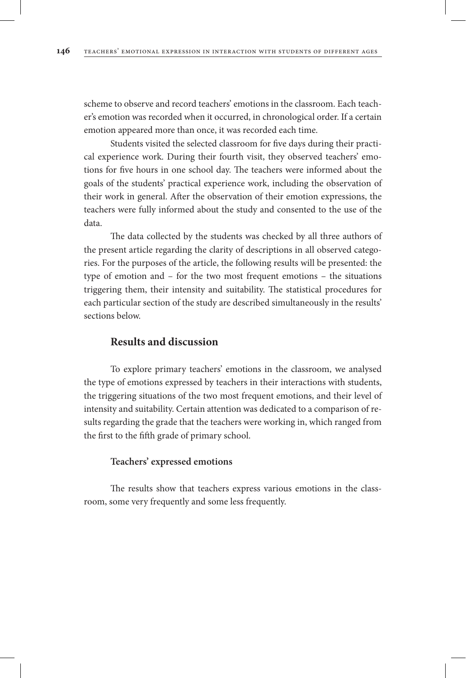scheme to observe and record teachers' emotions in the classroom. Each teacher's emotion was recorded when it occurred, in chronological order. If a certain emotion appeared more than once, it was recorded each time.

Students visited the selected classroom for five days during their practical experience work. During their fourth visit, they observed teachers' emotions for five hours in one school day. The teachers were informed about the goals of the students' practical experience work, including the observation of their work in general. After the observation of their emotion expressions, the teachers were fully informed about the study and consented to the use of the data.

The data collected by the students was checked by all three authors of the present article regarding the clarity of descriptions in all observed categories. For the purposes of the article, the following results will be presented: the type of emotion and – for the two most frequent emotions – the situations triggering them, their intensity and suitability. The statistical procedures for each particular section of the study are described simultaneously in the results' sections below.

### **Results and discussion**

To explore primary teachers' emotions in the classroom, we analysed the type of emotions expressed by teachers in their interactions with students, the triggering situations of the two most frequent emotions, and their level of intensity and suitability. Certain attention was dedicated to a comparison of results regarding the grade that the teachers were working in, which ranged from the first to the fifth grade of primary school.

#### **Teachers' expressed emotions**

The results show that teachers express various emotions in the classroom, some very frequently and some less frequently.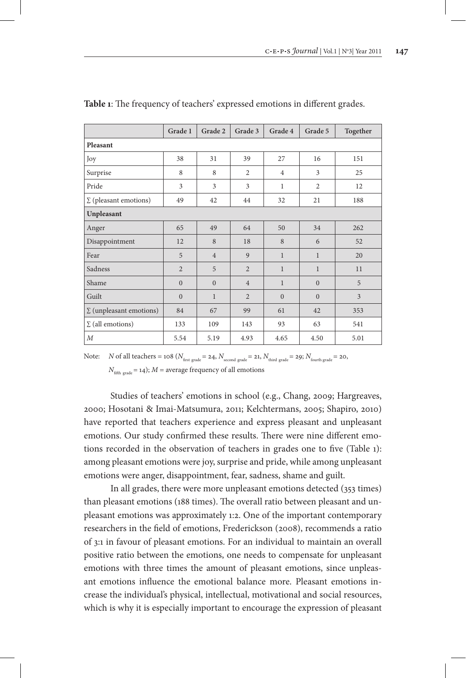|                                | Grade 1        | Grade 2        | Grade 3        | Grade 4        | Grade 5        | Together |  |
|--------------------------------|----------------|----------------|----------------|----------------|----------------|----------|--|
| Pleasant                       |                |                |                |                |                |          |  |
| Joy                            | 38             | 31             | 39             | 27             | 16             | 151      |  |
| Surprise                       | 8              | 8              | $\overline{c}$ | $\overline{4}$ | 3              | 25       |  |
| Pride                          | 3              | 3              | 3              | $\mathbf{1}$   | $\overline{2}$ | 12       |  |
| $\Sigma$ (pleasant emotions)   | 49             | 42             | 44             | 32             | 21             | 188      |  |
| Unpleasant                     |                |                |                |                |                |          |  |
| Anger                          | 65             | 49             | 64             | 50             | 34             | 262      |  |
| Disappointment                 | 12             | 8              | 18             | 8              | 6              | 52       |  |
| Fear                           | 5              | $\overline{4}$ | 9              | $\mathbf{1}$   | $\mathbf{1}$   | 20       |  |
| Sadness                        | $\overline{2}$ | 5              | $\overline{2}$ | $\mathbf{1}$   | $\mathbf{1}$   | 11       |  |
| Shame                          | $\Omega$       | $\Omega$       | $\overline{4}$ | $\mathbf{1}$   | $\Omega$       | 5        |  |
| Guilt                          | $\Omega$       | $\mathbf{1}$   | $\overline{2}$ | $\Omega$       | $\Omega$       | 3        |  |
| $\Sigma$ (unpleasant emotions) | 84             | 67             | 99             | 61             | 42             | 353      |  |
| $\Sigma$ (all emotions)        | 133            | 109            | 143            | 93             | 63             | 541      |  |
| $\boldsymbol{M}$               | 5.54           | 5.19           | 4.93           | 4.65           | 4.50           | 5.01     |  |

Note: *N* of all teachers =  $108$  ( $N_{\text{first grade}} = 24$ ,  $N_{\text{second grade}} = 21$ ,  $N_{\text{third grade}} = 29$ ;  $N_{\text{fourth grade}} = 20$ ,

 $N<sub>fitth grad</sub> = 14$ );  $M =$  average frequency of all emotions

Studies of teachers' emotions in school (e.g., Chang, 2009; Hargreaves, 2000; Hosotani & Imai-Matsumura, 2011; Kelchtermans, 2005; Shapiro, 2010) have reported that teachers experience and express pleasant and unpleasant emotions. Our study confirmed these results. There were nine different emotions recorded in the observation of teachers in grades one to five (Table 1): among pleasant emotions were joy, surprise and pride, while among unpleasant emotions were anger, disappointment, fear, sadness, shame and guilt.

In all grades, there were more unpleasant emotions detected (353 times) than pleasant emotions (188 times). The overall ratio between pleasant and unpleasant emotions was approximately 1:2. One of the important contemporary researchers in the field of emotions, Frederickson (2008), recommends a ratio of 3:1 in favour of pleasant emotions. For an individual to maintain an overall positive ratio between the emotions, one needs to compensate for unpleasant emotions with three times the amount of pleasant emotions, since unpleasant emotions influence the emotional balance more. Pleasant emotions increase the individual's physical, intellectual, motivational and social resources, which is why it is especially important to encourage the expression of pleasant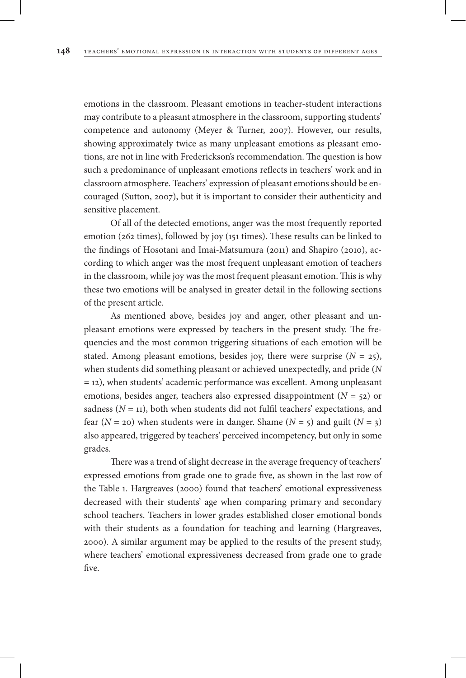emotions in the classroom. Pleasant emotions in teacher-student interactions may contribute to a pleasant atmosphere in the classroom, supporting students' competence and autonomy (Meyer & Turner, 2007). However, our results, showing approximately twice as many unpleasant emotions as pleasant emotions, are not in line with Frederickson's recommendation. The question is how such a predominance of unpleasant emotions reflects in teachers' work and in classroom atmosphere. Teachers' expression of pleasant emotions should be encouraged (Sutton, 2007), but it is important to consider their authenticity and sensitive placement.

Of all of the detected emotions, anger was the most frequently reported emotion (262 times), followed by joy (151 times). These results can be linked to the findings of Hosotani and Imai-Matsumura (2011) and Shapiro (2010), according to which anger was the most frequent unpleasant emotion of teachers in the classroom, while joy was the most frequent pleasant emotion. This is why these two emotions will be analysed in greater detail in the following sections of the present article.

As mentioned above, besides joy and anger, other pleasant and unpleasant emotions were expressed by teachers in the present study. The frequencies and the most common triggering situations of each emotion will be stated. Among pleasant emotions, besides joy, there were surprise  $(N = 25)$ , when students did something pleasant or achieved unexpectedly, and pride (*N*  = 12), when students' academic performance was excellent. Among unpleasant emotions, besides anger, teachers also expressed disappointment  $(N = 52)$  or sadness  $(N = 11)$ , both when students did not fulfil teachers' expectations, and fear  $(N = 20)$  when students were in danger. Shame  $(N = 5)$  and guilt  $(N = 3)$ also appeared, triggered by teachers' perceived incompetency, but only in some grades.

There was a trend of slight decrease in the average frequency of teachers' expressed emotions from grade one to grade five, as shown in the last row of the Table 1. Hargreaves (2000) found that teachers' emotional expressiveness decreased with their students' age when comparing primary and secondary school teachers. Teachers in lower grades established closer emotional bonds with their students as a foundation for teaching and learning (Hargreaves, 2000). A similar argument may be applied to the results of the present study, where teachers' emotional expressiveness decreased from grade one to grade five.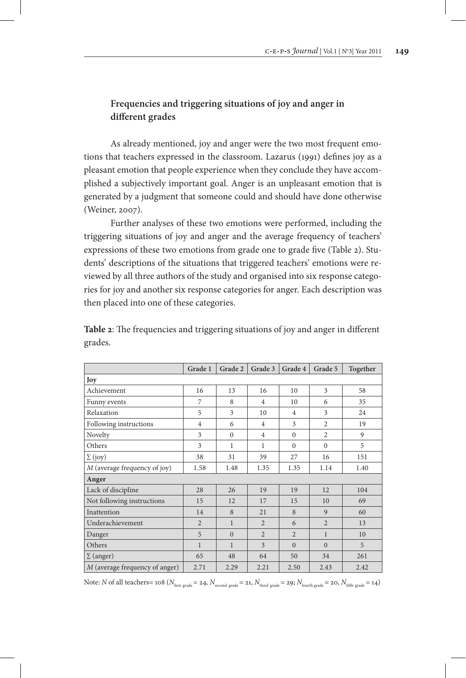# **Frequencies and triggering situations of joy and anger in different grades**

As already mentioned, joy and anger were the two most frequent emotions that teachers expressed in the classroom. Lazarus (1991) defines joy as a pleasant emotion that people experience when they conclude they have accomplished a subjectively important goal. Anger is an unpleasant emotion that is generated by a judgment that someone could and should have done otherwise (Weiner, 2007).

Further analyses of these two emotions were performed, including the triggering situations of joy and anger and the average frequency of teachers' expressions of these two emotions from grade one to grade five (Table 2). Students' descriptions of the situations that triggered teachers' emotions were reviewed by all three authors of the study and organised into six response categories for joy and another six response categories for anger. Each description was then placed into one of these categories.

|                                | Grade 1        | Grade 2      | Grade 3        | Grade 4        | Grade 5        | Together |
|--------------------------------|----------------|--------------|----------------|----------------|----------------|----------|
| Joy                            |                |              |                |                |                |          |
| Achievement                    | 16             | 13           | 16             | 10             | 3              | 58       |
| Funny events                   | 7              | 8            | $\overline{4}$ | 10             | 6              | 35       |
| Relaxation                     | 5              | 3            | 10             | $\overline{4}$ | 3              | 24       |
| Following instructions         | $\overline{4}$ | 6            | $\overline{4}$ | 3              | $\overline{2}$ | 19       |
| Novelty                        | 3              | $\mathbf{0}$ | $\overline{4}$ | $\mathbf{0}$   | $\overline{2}$ | 9        |
| Others                         | 3              | $\mathbf{1}$ | 1              | $\Omega$       | $\Omega$       | 5        |
| $\Sigma$ (joy)                 | 38             | 31           | 39             | 27             | 16             | 151      |
| M (average frequency of joy)   | 1.58           | 1.48         | 1.35           | 1.35           | 1.14           | 1.40     |
| Anger                          |                |              |                |                |                |          |
| Lack of discipline             | 28             | 26           | 19             | 19             | 12             | 104      |
| Not following instructions     | 15             | 12           | 17             | 15             | 10             | 69       |
| Inattention                    | 14             | 8            | 21             | 8              | 9              | 60       |
| Underachievement               | $\overline{2}$ | $\mathbf{1}$ | $\overline{2}$ | 6              | $\overline{2}$ | 13       |
| Danger                         | 5              | $\mathbf{0}$ | $\overline{2}$ | $\overline{2}$ | $\mathbf{1}$   | 10       |
| Others                         | $\mathbf{1}$   | $\mathbf{1}$ | 3              | $\Omega$       | $\Omega$       | 5        |
| $\Sigma$ (anger)               | 65             | 48           | 64             | 50             | 34             | 261      |
| M (average frequency of anger) | 2.71           | 2.29         | 2.21           | 2.50           | 2.43           | 2.42     |

**Table 2**: The frequencies and triggering situations of joy and anger in different grades.

Note: *N* of all teachers= 108 ( $N_{\text{first grade}} = 24$ ,  $N_{\text{second grade}} = 21$ ,  $N_{\text{third grade}} = 29$ ;  $N_{\text{fourth grade}} = 20$ ,  $N_{\text{fifth grade}} = 14$ )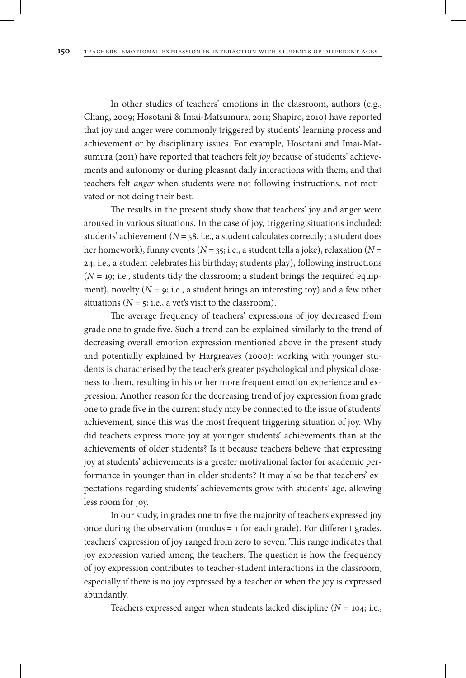In other studies of teachers' emotions in the classroom, authors (e.g., Chang, 2009; Hosotani & Imai-Matsumura, 2011; Shapiro, 2010) have reported that joy and anger were commonly triggered by students' learning process and achievement or by disciplinary issues. For example, Hosotani and Imai-Matsumura (2011) have reported that teachers felt *joy* because of students' achievements and autonomy or during pleasant daily interactions with them, and that teachers felt *anger* when students were not following instructions, not motivated or not doing their best.

The results in the present study show that teachers' joy and anger were aroused in various situations. In the case of joy, triggering situations included: students' achievement ( $N = 58$ , i.e., a student calculates correctly; a student does her homework), funny events (*N* = 35; i.e., a student tells a joke), relaxation (*N* = 24; i.e., a student celebrates his birthday; students play), following instructions  $(N = 19; i.e., students tidy the classroom; a student brings the required equip$ ment), novelty  $(N = 9; i.e., a student brings an interesting toy)$  and a few other situations ( $N = 5$ ; i.e., a vet's visit to the classroom).

The average frequency of teachers' expressions of joy decreased from grade one to grade five. Such a trend can be explained similarly to the trend of decreasing overall emotion expression mentioned above in the present study and potentially explained by Hargreaves (2000): working with younger students is characterised by the teacher's greater psychological and physical closeness to them, resulting in his or her more frequent emotion experience and expression. Another reason for the decreasing trend of joy expression from grade one to grade five in the current study may be connected to the issue of students' achievement, since this was the most frequent triggering situation of joy. Why did teachers express more joy at younger students' achievements than at the achievements of older students? Is it because teachers believe that expressing joy at students' achievements is a greater motivational factor for academic performance in younger than in older students? It may also be that teachers' expectations regarding students' achievements grow with students' age, allowing less room for joy.

In our study, in grades one to five the majority of teachers expressed joy once during the observation (modus = 1 for each grade). For different grades, teachers' expression of joy ranged from zero to seven. This range indicates that joy expression varied among the teachers. The question is how the frequency of joy expression contributes to teacher-student interactions in the classroom, especially if there is no joy expressed by a teacher or when the joy is expressed abundantly.

Teachers expressed anger when students lacked discipline (*N* = 104; i.e.,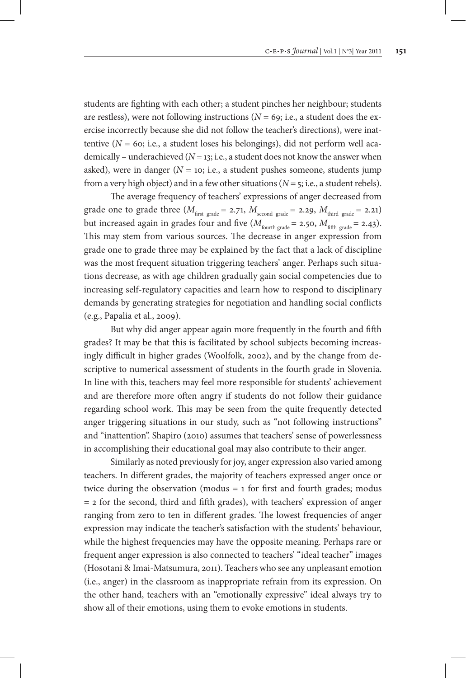students are fighting with each other; a student pinches her neighbour; students are restless), were not following instructions ( $N = 69$ ; i.e., a student does the exercise incorrectly because she did not follow the teacher's directions), were inattentive  $(N = 60; i.e., a student loses his belonging), did not perform well aca$ demically – underachieved  $(N = 13; i.e., a student does not know the answer when$ asked), were in danger ( $N = 10$ ; i.e., a student pushes someone, students jump from a very high object) and in a few other situations ( $N = 5$ ; i.e., a student rebels).

The average frequency of teachers' expressions of anger decreased from grade one to grade three  $(M<sub>first grade</sub> = 2.71, M<sub>second grade</sub> = 2.29, M<sub>third grade</sub> = 2.21)$ but increased again in grades four and five  $(M_{\text{fourth grade}} = 2.50, M_{\text{fifth grade}} = 2.43)$ . This may stem from various sources. The decrease in anger expression from grade one to grade three may be explained by the fact that a lack of discipline was the most frequent situation triggering teachers' anger. Perhaps such situations decrease, as with age children gradually gain social competencies due to increasing self-regulatory capacities and learn how to respond to disciplinary demands by generating strategies for negotiation and handling social conflicts (e.g., Papalia et al., 2009).

But why did anger appear again more frequently in the fourth and fifth grades? It may be that this is facilitated by school subjects becoming increasingly difficult in higher grades (Woolfolk, 2002), and by the change from descriptive to numerical assessment of students in the fourth grade in Slovenia. In line with this, teachers may feel more responsible for students' achievement and are therefore more often angry if students do not follow their guidance regarding school work. This may be seen from the quite frequently detected anger triggering situations in our study, such as "not following instructions" and "inattention". Shapiro (2010) assumes that teachers' sense of powerlessness in accomplishing their educational goal may also contribute to their anger.

Similarly as noted previously for joy, anger expression also varied among teachers. In different grades, the majority of teachers expressed anger once or twice during the observation (modus  $= 1$  for first and fourth grades; modus  $=$  2 for the second, third and fifth grades), with teachers' expression of anger ranging from zero to ten in different grades. The lowest frequencies of anger expression may indicate the teacher's satisfaction with the students' behaviour, while the highest frequencies may have the opposite meaning. Perhaps rare or frequent anger expression is also connected to teachers' "ideal teacher" images (Hosotani & Imai-Matsumura, 2011). Teachers who see any unpleasant emotion (i.e., anger) in the classroom as inappropriate refrain from its expression. On the other hand, teachers with an "emotionally expressive" ideal always try to show all of their emotions, using them to evoke emotions in students.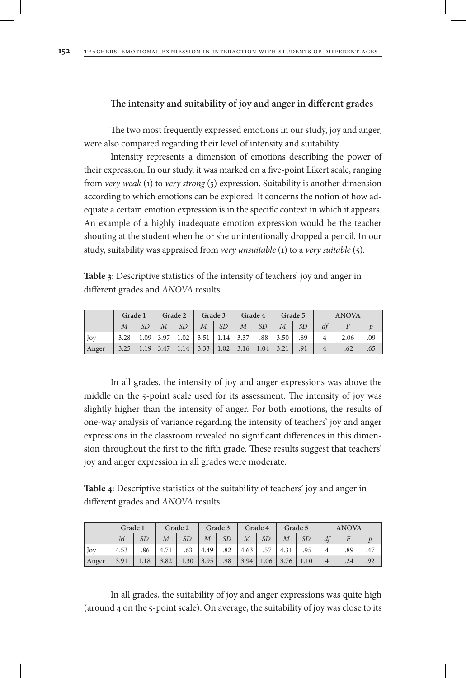## **The intensity and suitability of joy and anger in different grades**

The two most frequently expressed emotions in our study, joy and anger, were also compared regarding their level of intensity and suitability.

Intensity represents a dimension of emotions describing the power of their expression. In our study, it was marked on a five-point Likert scale, ranging from *very weak* (1) to *very strong* (5) expression. Suitability is another dimension according to which emotions can be explored. It concerns the notion of how adequate a certain emotion expression is in the specific context in which it appears. An example of a highly inadequate emotion expression would be the teacher shouting at the student when he or she unintentionally dropped a pencil. In our study, suitability was appraised from *very unsuitable* (1) to a *very suitable* (5).

**Table 3**: Descriptive statistics of the intensity of teachers' joy and anger in different grades and *ANOVA* results.

|       | Grade 1 |           |                |                                                                      | Grade 2 $\vert$ Grade 3 $\vert$ Grade 4 |             |  |              | <b>Grade 5</b> |    | <b>ANOVA</b> |      |     |
|-------|---------|-----------|----------------|----------------------------------------------------------------------|-----------------------------------------|-------------|--|--------------|----------------|----|--------------|------|-----|
|       |         | <b>SD</b> | $\overline{M}$ | $\Box$ SD                                                            |                                         | $M \mid SD$ |  | $M \perp SD$ | M              | SD |              |      |     |
| Joy   |         |           |                | $3.28$   1.09   3.97   1.02   3.51   1.14   3.37   .88   3.50   .89  |                                         |             |  |              |                |    |              | 2.06 | .09 |
| Anger |         |           |                | $3.25$   1.19   3.47   1.14   3.33   1.02   3.16   1.04   3.21   .91 |                                         |             |  |              |                |    |              | .62  | .65 |

In all grades, the intensity of joy and anger expressions was above the middle on the 5-point scale used for its assessment. The intensity of joy was slightly higher than the intensity of anger. For both emotions, the results of one-way analysis of variance regarding the intensity of teachers' joy and anger expressions in the classroom revealed no significant differences in this dimension throughout the first to the fifth grade. These results suggest that teachers' joy and anger expression in all grades were moderate.

**Table 4**: Descriptive statistics of the suitability of teachers' joy and anger in different grades and *ANOVA* results.

|       | Grade 1        |           | Grade 2        |           | Grade 3          |     | Grade 4          |     | Grade 5          |           | <b>ANOVA</b> |     |     |
|-------|----------------|-----------|----------------|-----------|------------------|-----|------------------|-----|------------------|-----------|--------------|-----|-----|
|       | $\overline{M}$ | <b>SD</b> | $\overline{M}$ | <i>SD</i> | $\boldsymbol{M}$ | SD  | $\boldsymbol{M}$ | SD  | $\boldsymbol{M}$ | <b>SD</b> | df           |     |     |
| Joy   | 4.53           | .86       | 4.71           | .63       | 4.49             | .82 | 4.63             | .57 | 4.31             | .95       |              | .89 | .47 |
| Anger | 3.91           | 1.18      | 3.82           | 1.30      | 3.95             |     | $.98$   3.94     |     | $1.06$   3.76    | 1.10      |              | .24 | .92 |

In all grades, the suitability of joy and anger expressions was quite high (around 4 on the 5-point scale). On average, the suitability of joy was close to its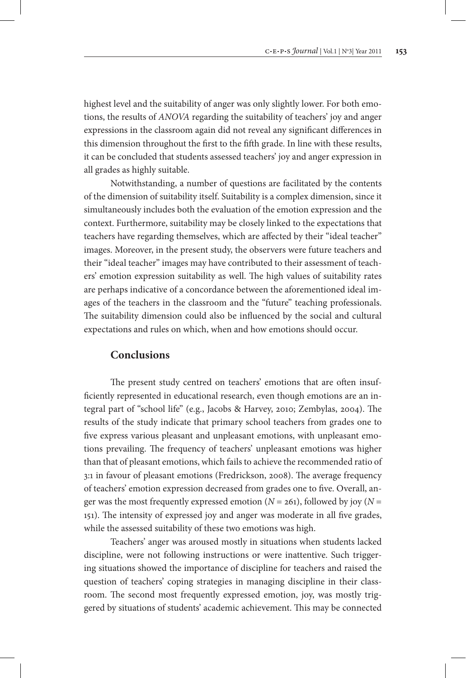highest level and the suitability of anger was only slightly lower. For both emotions, the results of *ANOVA* regarding the suitability of teachers' joy and anger expressions in the classroom again did not reveal any significant differences in this dimension throughout the first to the fifth grade. In line with these results, it can be concluded that students assessed teachers' joy and anger expression in all grades as highly suitable.

Notwithstanding, a number of questions are facilitated by the contents of the dimension of suitability itself. Suitability is a complex dimension, since it simultaneously includes both the evaluation of the emotion expression and the context. Furthermore, suitability may be closely linked to the expectations that teachers have regarding themselves, which are affected by their "ideal teacher" images. Moreover, in the present study, the observers were future teachers and their "ideal teacher" images may have contributed to their assessment of teachers' emotion expression suitability as well. The high values of suitability rates are perhaps indicative of a concordance between the aforementioned ideal images of the teachers in the classroom and the "future" teaching professionals. The suitability dimension could also be influenced by the social and cultural expectations and rules on which, when and how emotions should occur.

## **Conclusions**

The present study centred on teachers' emotions that are often insufficiently represented in educational research, even though emotions are an integral part of "school life" (e.g., Jacobs & Harvey, 2010; Zembylas, 2004). The results of the study indicate that primary school teachers from grades one to five express various pleasant and unpleasant emotions, with unpleasant emotions prevailing. The frequency of teachers' unpleasant emotions was higher than that of pleasant emotions, which fails to achieve the recommended ratio of 3:1 in favour of pleasant emotions (Fredrickson, 2008). The average frequency of teachers' emotion expression decreased from grades one to five. Overall, anger was the most frequently expressed emotion  $(N = 261)$ , followed by joy  $(N = 161)$ 151). The intensity of expressed joy and anger was moderate in all five grades, while the assessed suitability of these two emotions was high.

Teachers' anger was aroused mostly in situations when students lacked discipline, were not following instructions or were inattentive. Such triggering situations showed the importance of discipline for teachers and raised the question of teachers' coping strategies in managing discipline in their classroom. The second most frequently expressed emotion, joy, was mostly triggered by situations of students' academic achievement. This may be connected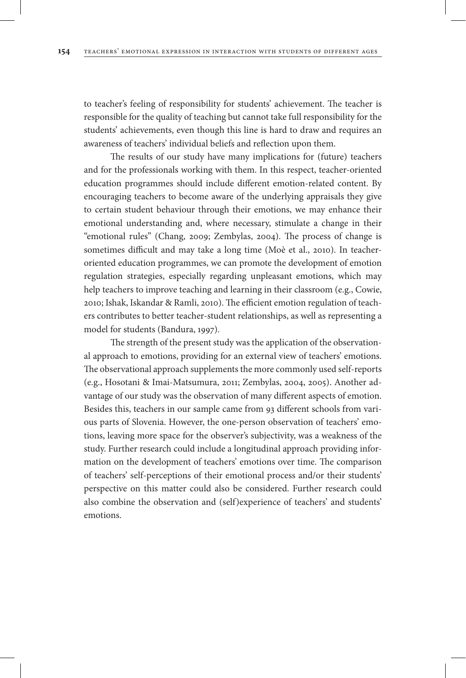to teacher's feeling of responsibility for students' achievement. The teacher is responsible for the quality of teaching but cannot take full responsibility for the students' achievements, even though this line is hard to draw and requires an awareness of teachers' individual beliefs and reflection upon them.

The results of our study have many implications for (future) teachers and for the professionals working with them. In this respect, teacher-oriented education programmes should include different emotion-related content. By encouraging teachers to become aware of the underlying appraisals they give to certain student behaviour through their emotions, we may enhance their emotional understanding and, where necessary, stimulate a change in their "emotional rules" (Chang, 2009; Zembylas, 2004). The process of change is sometimes difficult and may take a long time (Moè et al., 2010). In teacheroriented education programmes, we can promote the development of emotion regulation strategies, especially regarding unpleasant emotions, which may help teachers to improve teaching and learning in their classroom (e.g., Cowie, 2010; Ishak, Iskandar & Ramli, 2010). The efficient emotion regulation of teachers contributes to better teacher-student relationships, as well as representing a model for students (Bandura, 1997).

The strength of the present study was the application of the observational approach to emotions, providing for an external view of teachers' emotions. The observational approach supplements the more commonly used self-reports (e.g., Hosotani & Imai-Matsumura, 2011; Zembylas, 2004, 2005). Another advantage of our study was the observation of many different aspects of emotion. Besides this, teachers in our sample came from 93 different schools from various parts of Slovenia. However, the one-person observation of teachers' emotions, leaving more space for the observer's subjectivity, was a weakness of the study. Further research could include a longitudinal approach providing information on the development of teachers' emotions over time. The comparison of teachers' self-perceptions of their emotional process and/or their students' perspective on this matter could also be considered. Further research could also combine the observation and (self)experience of teachers' and students' emotions.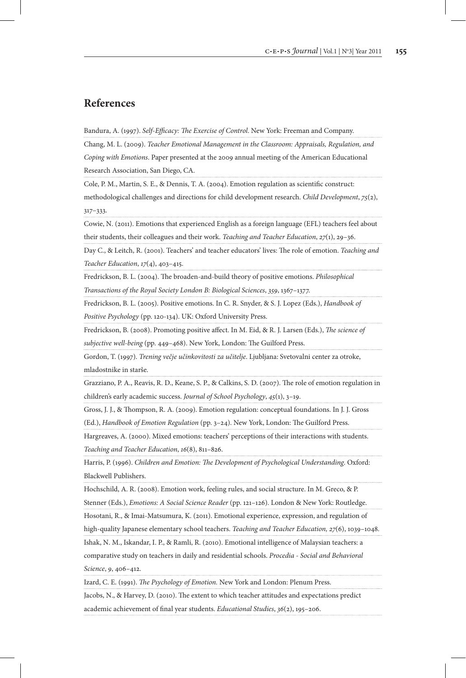# **References**

Bandura, A. (1997). *Self*-*Efficacy: The Exercise of Control*. New York: Freeman and Company.

Chang, M. L. (2009). *Teacher Emotional Management in the Classroom: Appraisals, Regulation, and Coping with Emotions*. Paper presented at the 2009 annual meeting of the American Educational Research Association, San Diego, CA.

Cole, P. M., Martin, S. E., & Dennis, T. A. (2004). Emotion regulation as scientific construct:

methodological challenges and directions for child development research. *Child Development*, *75*(2), 317–333.

Cowie, N. (2011). Emotions that experienced English as a foreign language (EFL) teachers feel about their students, their colleagues and their work. *Teaching and Teacher Education*, *27*(1), 29–36.

Day C., & Leitch, R. (2001). Teachers' and teacher educators' lives: The role of emotion. *Teaching and Teacher Education*, *17*(4), 403–415.

Fredrickson, B. L. (2004). The broaden-and-build theory of positive emotions. *Philosophical* 

*Transactions of the Royal Society London B: Biological Sciences*, *359*, 1367–1377.

Fredrickson, B. L. (2005). Positive emotions. In C. R. Snyder, & S. J. Lopez (Eds.), *Handbook of* 

*Positive Psychology* (pp. 120-134). UK: Oxford University Press.

Fredrickson, B. (2008). Promoting positive affect. In M. Eid, & R. J. Larsen (Eds.), *The science of subjective well-being* (pp. 449–468). New York, London: The Guilford Press.

Gordon, T. (1997). *Trening večje učinkovitosti za učitelje*. Ljubljana: Svetovalni center za otroke, mladostnike in starše.

Grazziano, P. A., Reavis, R. D., Keane, S. P., & Calkins, S. D. (2007). The role of emotion regulation in children's early academic success. *Journal of School Psychology*, *45*(1), 3–19.

Gross, J. J., & Thompson, R. A. (2009). Emotion regulation: conceptual foundations. In J. J. Gross (Ed.), *Handbook of Emotion Regulation* (pp. 3–24). New York, London: The Guilford Press.

Hargreaves, A. (2000). Mixed emotions: teachers' perceptions of their interactions with students. *Teaching and Teacher Education*, *16*(8), 811–826.

Harris, P. (1996). *Children and Emotion: The Development of Psychological Understanding*. Oxford: Blackwell Publishers.

Hochschild, A. R. (2008). Emotion work, feeling rules, and social structure. In M. Greco, & P.

Stenner (Eds.), *Emotions: A Social Science Reader* (pp. 121–126). London & New York: Routledge.

Hosotani, R., & Imai-Matsumura, K. (2011). Emotional experience, expression, and regulation of

high-quality Japanese elementary school teachers. *Teaching and Teacher Education, 27*(6), 1039–1048.

Ishak, N. M., Iskandar, I. P., & Ramli, R. (2010). Emotional intelligence of Malaysian teachers: a

comparative study on teachers in daily and residential schools. *Procedia - Social and Behavioral Science*, *9*, 406–412.

Izard, C. E. (1991). *The Psychology of Emotion.* New York and London: Plenum Press.

Jacobs, N., & Harvey, D. (2010). The extent to which teacher attitudes and expectations predict academic achievement of final year students. *Educational Studies*, *36*(2), 195–206.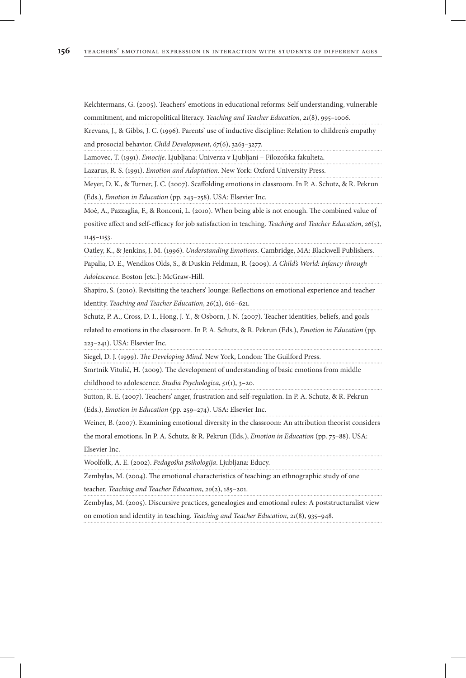Kelchtermans, G. (2005). Teachers' emotions in educational reforms: Self understanding, vulnerable commitment, and micropolitical literacy. *Teaching and Teacher Education*, *21*(8), 995–1006.

Krevans, J., & Gibbs, J. C. (1996). Parents' use of inductive discipline: Relation to children's empathy and prosocial behavior. *Child Development*, *67*(6), 3263–3277.

Lamovec, T. (1991). *Emocije*. Ljubljana: Univerza v Ljubljani – Filozofska fakulteta.

Lazarus, R. S. (1991). *Emotion and Adaptation*. New York: Oxford University Press.

Meyer, D. K., & Turner, J. C. (2007). Scaffolding emotions in classroom. In P. A. Schutz, & R. Pekrun (Eds.), *Emotion in Education* (pp. 243–258). USA: Elsevier Inc.

Moè, A., Pazzaglia, F., & Ronconi, L. (2010). When being able is not enough. The combined value of positive affect and self-efficacy for job satisfaction in teaching. *Teaching and Teacher Education*, *26*(5), 1145–1153.

Oatley, K., & Jenkins, J. M. (1996). *Understanding Emotions*. Cambridge, MA: Blackwell Publishers.

Papalia, D. E., Wendkos Olds, S., & Duskin Feldman, R. (2009). *A Child's World: Infancy through Adolescence*. Boston [etc.]: McGraw-Hill.

Shapiro, S. (2010). Revisiting the teachers' lounge: Reflections on emotional experience and teacher identity. *Teaching and Teacher Education*, *26*(2), 616–621.

Schutz, P. A., Cross, D. I., Hong, J. Y., & Osborn, J. N. (2007). Teacher identities, beliefs, and goals

related to emotions in the classroom. In P. A. Schutz, & R. Pekrun (Eds.), *Emotion in Education* (pp. 223–241). USA: Elsevier Inc.

Siegel, D. J. (1999). *The Developing Mind.* New York, London: The Guilford Press.

Smrtnik Vitulić, H. (2009). The development of understanding of basic emotions from middle

childhood to adolescence. *Studia Psychologica*, *51*(1), 3–20.

Sutton, R. E. (2007). Teachers' anger, frustration and self-regulation. In P. A. Schutz, & R. Pekrun (Eds.), *Emotion in Education* (pp. 259–274). USA: Elsevier Inc.

Weiner, B. (2007). Examining emotional diversity in the classroom: An attribution theorist considers

the moral emotions. In P. A. Schutz, & R. Pekrun (Eds.), *Emotion in Education* (pp. 75–88). USA: Elsevier Inc.

Woolfolk, A. E. (2002). *Pedagoška psihologija*. Ljubljana: Educy.

Zembylas, M. (2004). The emotional characteristics of teaching: an ethnographic study of one teacher. *Teaching and Teacher Education*, *20*(2), 185–201.

Zembylas, M. (2005). Discursive practices, genealogies and emotional rules: A poststructuralist view on emotion and identity in teaching. *Teaching and Teacher Education*, *21*(8), 935–948.